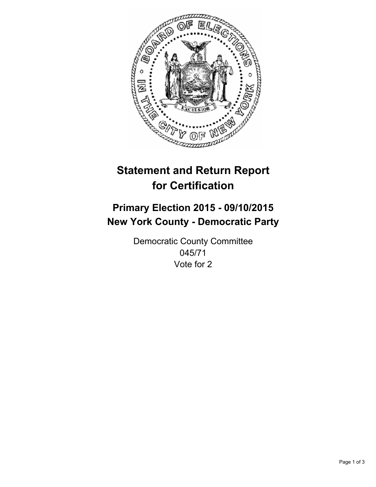

# **Statement and Return Report for Certification**

## **Primary Election 2015 - 09/10/2015 New York County - Democratic Party**

Democratic County Committee 045/71 Vote for 2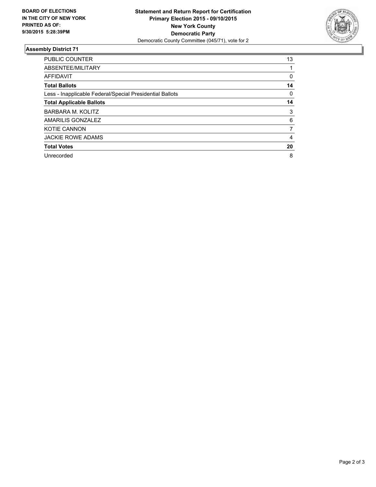

#### **Assembly District 71**

| <b>PUBLIC COUNTER</b>                                    | 13 |
|----------------------------------------------------------|----|
| ABSENTEE/MILITARY                                        |    |
| <b>AFFIDAVIT</b>                                         | 0  |
| <b>Total Ballots</b>                                     | 14 |
| Less - Inapplicable Federal/Special Presidential Ballots | 0  |
| <b>Total Applicable Ballots</b>                          | 14 |
| BARBARA M. KOLITZ                                        | 3  |
| AMARILIS GONZALEZ                                        | 6  |
| <b>KOTIE CANNON</b>                                      | 7  |
| <b>JACKIE ROWE ADAMS</b>                                 | 4  |
| <b>Total Votes</b>                                       | 20 |
| Unrecorded                                               | 8  |